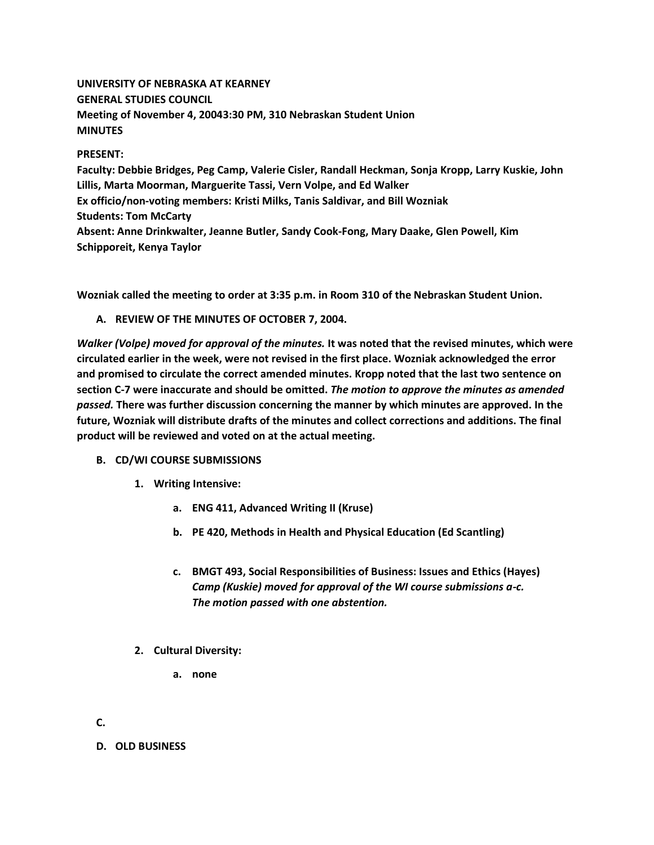# **UNIVERSITY OF NEBRASKA AT KEARNEY GENERAL STUDIES COUNCIL Meeting of November 4, 20043:30 PM, 310 Nebraskan Student Union MINUTES**

### **PRESENT:**

**Faculty: Debbie Bridges, Peg Camp, Valerie Cisler, Randall Heckman, Sonja Kropp, Larry Kuskie, John Lillis, Marta Moorman, Marguerite Tassi, Vern Volpe, and Ed Walker Ex officio/non-voting members: Kristi Milks, Tanis Saldivar, and Bill Wozniak Students: Tom McCarty Absent: Anne Drinkwalter, Jeanne Butler, Sandy Cook-Fong, Mary Daake, Glen Powell, Kim Schipporeit, Kenya Taylor**

**Wozniak called the meeting to order at 3:35 p.m. in Room 310 of the Nebraskan Student Union.**

**A. REVIEW OF THE MINUTES OF OCTOBER 7, 2004.**

*Walker (Volpe) moved for approval of the minutes.* **It was noted that the revised minutes, which were circulated earlier in the week, were not revised in the first place. Wozniak acknowledged the error and promised to circulate the correct amended minutes. Kropp noted that the last two sentence on section C-7 were inaccurate and should be omitted.** *The motion to approve the minutes as amended passed.* **There was further discussion concerning the manner by which minutes are approved. In the future, Wozniak will distribute drafts of the minutes and collect corrections and additions. The final product will be reviewed and voted on at the actual meeting.**

- **B. CD/WI COURSE SUBMISSIONS**
	- **1. Writing Intensive:** 
		- **a. ENG 411, Advanced Writing II (Kruse)**
		- **b. PE 420, Methods in Health and Physical Education (Ed Scantling)**
		- **c. BMGT 493, Social Responsibilities of Business: Issues and Ethics (Hayes)** *Camp (Kuskie) moved for approval of the WI course submissions a-c. The motion passed with one abstention.*
	- **2. Cultural Diversity:** 
		- **a. none**

**C.**

**D. OLD BUSINESS**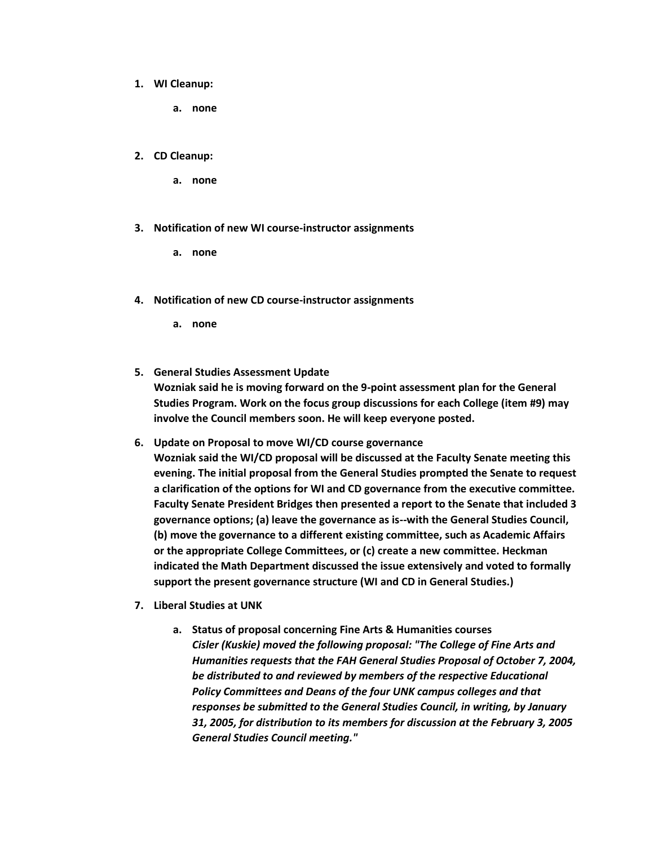#### **1. WI Cleanup:**

**a. none**

#### **2. CD Cleanup:**

- **a. none**
- **3. Notification of new WI course-instructor assignments** 
	- **a. none**
- **4. Notification of new CD course-instructor assignments** 
	- **a. none**
- **5. General Studies Assessment Update Wozniak said he is moving forward on the 9-point assessment plan for the General Studies Program. Work on the focus group discussions for each College (item #9) may involve the Council members soon. He will keep everyone posted.**
- **6. Update on Proposal to move WI/CD course governance Wozniak said the WI/CD proposal will be discussed at the Faculty Senate meeting this evening. The initial proposal from the General Studies prompted the Senate to request a clarification of the options for WI and CD governance from the executive committee. Faculty Senate President Bridges then presented a report to the Senate that included 3 governance options; (a) leave the governance as is--with the General Studies Council, (b) move the governance to a different existing committee, such as Academic Affairs or the appropriate College Committees, or (c) create a new committee. Heckman indicated the Math Department discussed the issue extensively and voted to formally support the present governance structure (WI and CD in General Studies.)**
- **7. Liberal Studies at UNK** 
	- **a. Status of proposal concerning Fine Arts & Humanities courses** *Cisler (Kuskie) moved the following proposal: "The College of Fine Arts and Humanities requests that the FAH General Studies Proposal of October 7, 2004, be distributed to and reviewed by members of the respective Educational Policy Committees and Deans of the four UNK campus colleges and that responses be submitted to the General Studies Council, in writing, by January 31, 2005, for distribution to its members for discussion at the February 3, 2005 General Studies Council meeting."*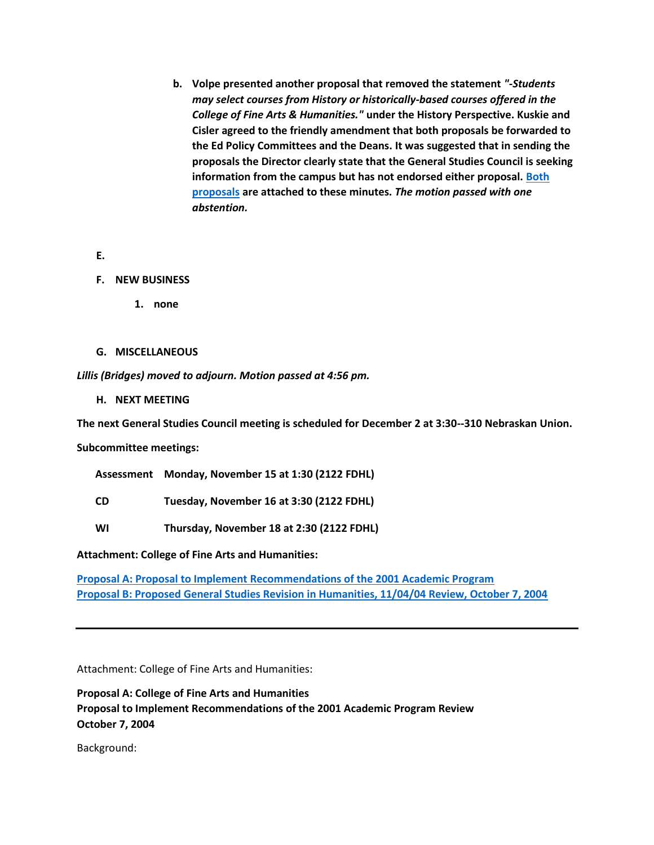- **b. Volpe presented another proposal that removed the statement** *"-Students may select courses from History or historically-based courses offered in the College of Fine Arts & Humanities."* **under the History Perspective. Kuskie and Cisler agreed to the friendly amendment that both proposals be forwarded to the Ed Policy Committees and the Deans. It was suggested that in sending the proposals the Director clearly state that the General Studies Council is seeking information from the campus but has not endorsed either proposal. [Both](http://www.unk.edu/academicaffairs/generalstudies/index.php?id=3822)  [proposals](http://www.unk.edu/academicaffairs/generalstudies/index.php?id=3822) are attached to these minutes.** *The motion passed with one abstention.*
- **E.**
- **F. NEW BUSINESS**
	- **1. none**
- **G. MISCELLANEOUS**

*Lillis (Bridges) moved to adjourn. Motion passed at 4:56 pm.*

**H. NEXT MEETING**

**The next General Studies Council meeting is scheduled for December 2 at 3:30--310 Nebraskan Union.**

**Subcommittee meetings:**

**Assessment Monday, November 15 at 1:30 (2122 FDHL)**

- **CD Tuesday, November 16 at 3:30 (2122 FDHL)**
- **WI Thursday, November 18 at 2:30 (2122 FDHL)**

**Attachment: College of Fine Arts and Humanities:**

**[Proposal A: Proposal to Implement Recommendations of the 2001 Academic Program](http://www.unk.edu/academicaffairs/generalstudies/index.php?id=3822) [Proposal B: Proposed General Studies Revision in Humanities, 11/04/04 Review, October 7, 2004](http://www.unk.edu/academicaffairs/generalstudies/index.php?id=3822#B)**

Attachment: College of Fine Arts and Humanities:

**Proposal A: College of Fine Arts and Humanities Proposal to Implement Recommendations of the 2001 Academic Program Review October 7, 2004**

Background: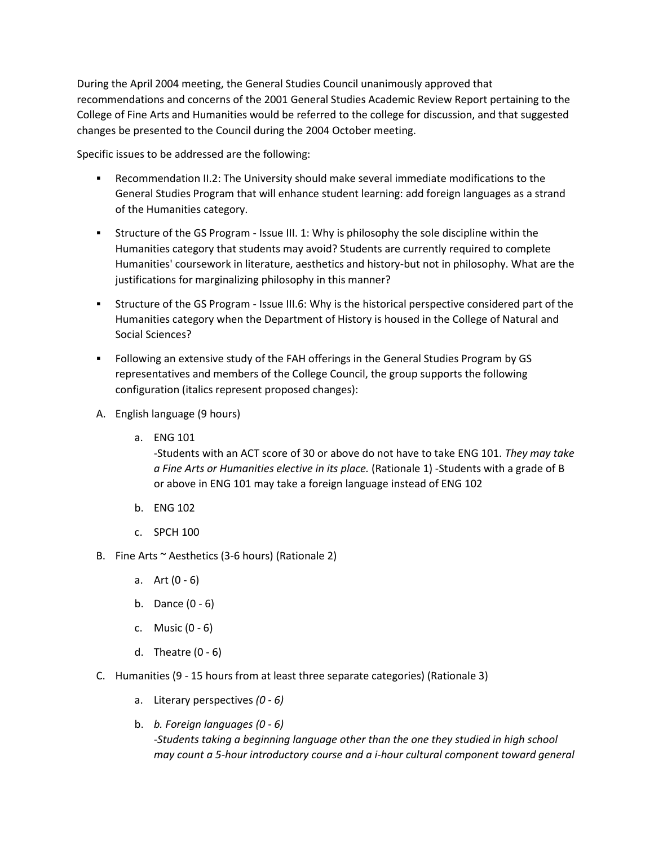During the April 2004 meeting, the General Studies Council unanimously approved that recommendations and concerns of the 2001 General Studies Academic Review Report pertaining to the College of Fine Arts and Humanities would be referred to the college for discussion, and that suggested changes be presented to the Council during the 2004 October meeting.

Specific issues to be addressed are the following:

- Recommendation II.2: The University should make several immediate modifications to the General Studies Program that will enhance student learning: add foreign languages as a strand of the Humanities category.
- Structure of the GS Program Issue III. 1: Why is philosophy the sole discipline within the Humanities category that students may avoid? Students are currently required to complete Humanities' coursework in literature, aesthetics and history-but not in philosophy. What are the justifications for marginalizing philosophy in this manner?
- Structure of the GS Program Issue III.6: Why is the historical perspective considered part of the Humanities category when the Department of History is housed in the College of Natural and Social Sciences?
- Following an extensive study of the FAH offerings in the General Studies Program by GS representatives and members of the College Council, the group supports the following configuration (italics represent proposed changes):
- A. English language (9 hours)
	- a. ENG 101

-Students with an ACT score of 30 or above do not have to take ENG 101. *They may take a Fine Arts or Humanities elective in its place.* (Rationale 1) -Students with a grade of B or above in ENG 101 may take a foreign language instead of ENG 102

- b. ENG 102
- c. SPCH 100
- B. Fine Arts  $\sim$  Aesthetics (3-6 hours) (Rationale 2)
	- a. Art  $(0 6)$
	- b. Dance (0 6)
	- c. Music (0 6)
	- d. Theatre (0 6)
- C. Humanities (9 15 hours from at least three separate categories) (Rationale 3)
	- a. Literary perspectives *(0 - 6)*
	- b. *b. Foreign languages (0 - 6) -Students taking a beginning language other than the one they studied in high school may count a 5-hour introductory course and a i-hour cultural component toward general*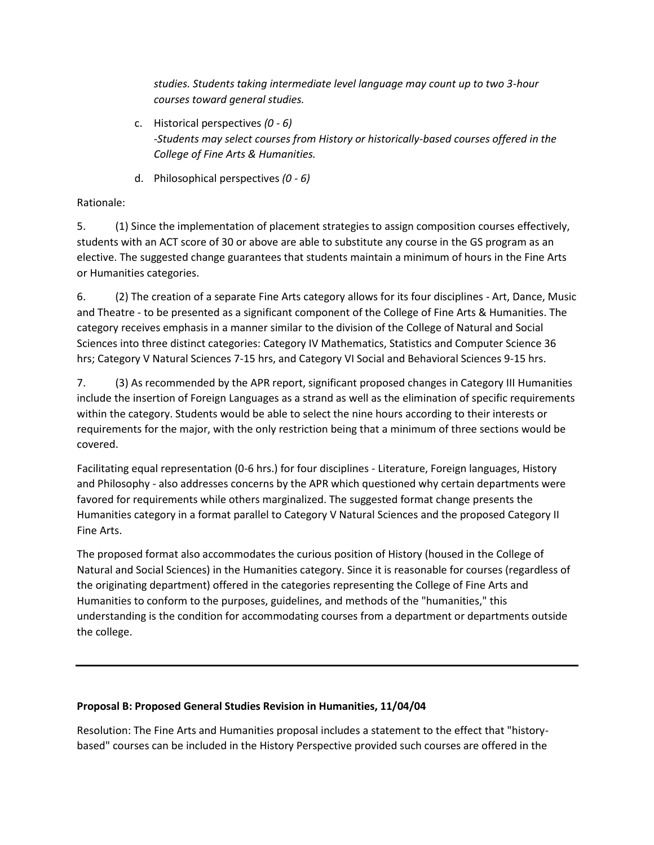*studies. Students taking intermediate level language may count up to two 3-hour courses toward general studies.*

- c. Historical perspectives *(0 - 6) -Students may select courses from History or historically-based courses offered in the College of Fine Arts & Humanities.*
- d. Philosophical perspectives *(0 - 6)*

## Rationale:

5. (1) Since the implementation of placement strategies to assign composition courses effectively, students with an ACT score of 30 or above are able to substitute any course in the GS program as an elective. The suggested change guarantees that students maintain a minimum of hours in the Fine Arts or Humanities categories.

6. (2) The creation of a separate Fine Arts category allows for its four disciplines - Art, Dance, Music and Theatre - to be presented as a significant component of the College of Fine Arts & Humanities. The category receives emphasis in a manner similar to the division of the College of Natural and Social Sciences into three distinct categories: Category IV Mathematics, Statistics and Computer Science 36 hrs; Category V Natural Sciences 7-15 hrs, and Category VI Social and Behavioral Sciences 9-15 hrs.

7. (3) As recommended by the APR report, significant proposed changes in Category III Humanities include the insertion of Foreign Languages as a strand as well as the elimination of specific requirements within the category. Students would be able to select the nine hours according to their interests or requirements for the major, with the only restriction being that a minimum of three sections would be covered.

Facilitating equal representation (0-6 hrs.) for four disciplines - Literature, Foreign languages, History and Philosophy - also addresses concerns by the APR which questioned why certain departments were favored for requirements while others marginalized. The suggested format change presents the Humanities category in a format parallel to Category V Natural Sciences and the proposed Category II Fine Arts.

The proposed format also accommodates the curious position of History (housed in the College of Natural and Social Sciences) in the Humanities category. Since it is reasonable for courses (regardless of the originating department) offered in the categories representing the College of Fine Arts and Humanities to conform to the purposes, guidelines, and methods of the "humanities," this understanding is the condition for accommodating courses from a department or departments outside the college.

### **Proposal B: Proposed General Studies Revision in Humanities, 11/04/04**

Resolution: The Fine Arts and Humanities proposal includes a statement to the effect that "historybased" courses can be included in the History Perspective provided such courses are offered in the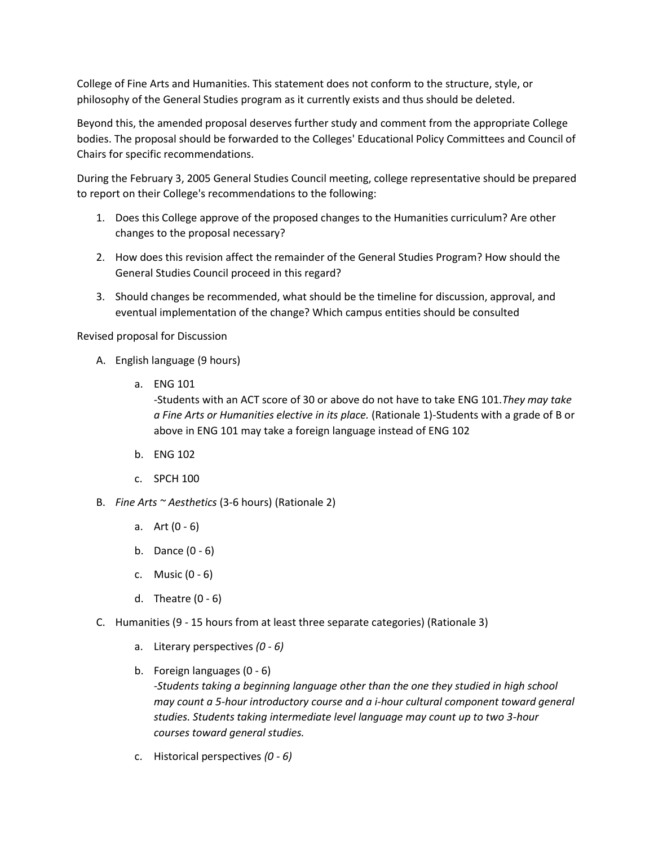College of Fine Arts and Humanities. This statement does not conform to the structure, style, or philosophy of the General Studies program as it currently exists and thus should be deleted.

Beyond this, the amended proposal deserves further study and comment from the appropriate College bodies. The proposal should be forwarded to the Colleges' Educational Policy Committees and Council of Chairs for specific recommendations.

During the February 3, 2005 General Studies Council meeting, college representative should be prepared to report on their College's recommendations to the following:

- 1. Does this College approve of the proposed changes to the Humanities curriculum? Are other changes to the proposal necessary?
- 2. How does this revision affect the remainder of the General Studies Program? How should the General Studies Council proceed in this regard?
- 3. Should changes be recommended, what should be the timeline for discussion, approval, and eventual implementation of the change? Which campus entities should be consulted

Revised proposal for Discussion

- A. English language (9 hours)
	- a. ENG 101

-Students with an ACT score of 30 or above do not have to take ENG 101.*They may take a Fine Arts or Humanities elective in its place.* (Rationale 1)-Students with a grade of B or above in ENG 101 may take a foreign language instead of ENG 102

- b. ENG 102
- c. SPCH 100
- B. *Fine Arts ~ Aesthetics* (3-6 hours) (Rationale 2)
	- a. Art (0 6)
	- b. Dance (0 6)
	- c. Music (0 6)
	- d. Theatre (0 6)
- C. Humanities (9 15 hours from at least three separate categories) (Rationale 3)
	- a. Literary perspectives *(0 - 6)*
	- b. Foreign languages (0 6) *-Students taking a beginning language other than the one they studied in high school may count a 5-hour introductory course and a i-hour cultural component toward general studies. Students taking intermediate level language may count up to two 3-hour courses toward general studies.*
	- c. Historical perspectives *(0 - 6)*